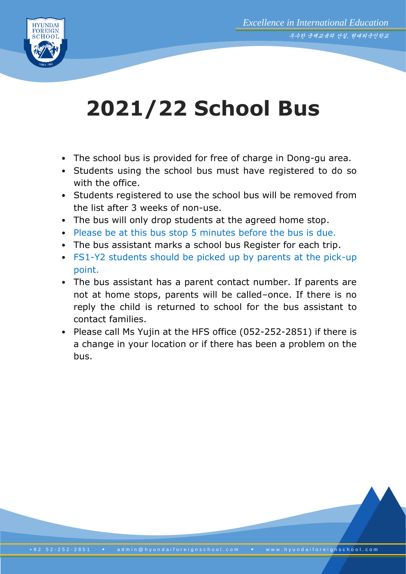

## **2021/22 School Bus**

- The school bus is provided for free of charge in Dong-gu area.
- Students using the school bus must have registered to do so with the office.
- Students registered to use the school bus will be removed from the list after 3 weeks of non-use.
- The bus will only drop students at the agreed home stop.
- Please be at this bus stop 5 minutes before the bus is due.
- The bus assistant marks a school bus Register for each trip.
- FS1-Y2 students should be picked up by parents at the pick-up point.
- The bus assistant has a parent contact number. If parents are not at home stops, parents will be called–once. If there is no reply the child is returned to school for the bus assistant to contact families.
- Please call Ms Yujin at the HFS office (052-252-2851) if there is a change in your location or if there has been a problem on the bus.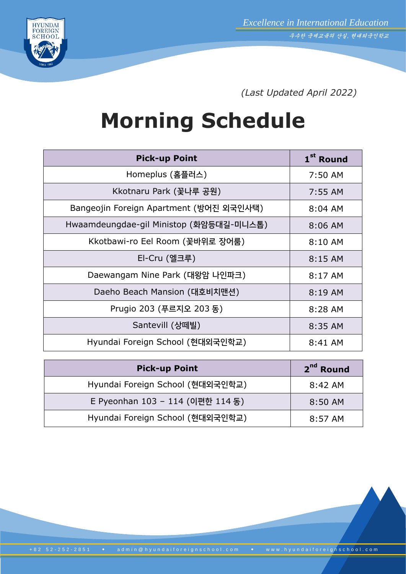



*(Last Updated April 2022)*

## **Morning Schedule**

| 1 <sup>st</sup> Round |
|-----------------------|
| 7:50 AM               |
| 7:55 AM               |
| $8:04$ AM             |
| 8:06 AM               |
| 8:10 AM               |
| 8:15 AM               |
| 8:17 AM               |
| 8:19 AM               |
| 8:28 AM               |
| 8:35 AM               |
| 8:41 AM               |
|                       |

| <b>Pick-up Point</b>             | 2 <sup>nd</sup> Round |
|----------------------------------|-----------------------|
| Hyundai Foreign School (현대외국인학교) | $8:42 \, \text{AM}$   |
| E Pyeonhan 103 - 114 (이편한 114 동) | 8:50 AM               |
| Hyundai Foreign School (현대외국인학교) | $8:57$ AM             |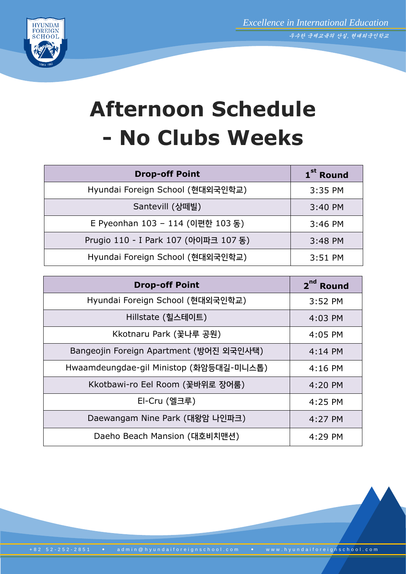

## **Afternoon Schedule - No Clubs Weeks**

| <b>Drop-off Point</b>                | 1 <sup>st</sup> Round |
|--------------------------------------|-----------------------|
| Hyundai Foreign School (현대외국인학교)     | 3:35 PM               |
| Santevill (상떼빌)                      | 3:40 PM               |
| E Pyeonhan 103 - 114 (이편한 103 동)     | 3:46 PM               |
| Prugio 110 - I Park 107 (아이파크 107 동) | 3:48 PM               |
| Hyundai Foreign School (현대외국인학교)     | 3:51 PM               |

| <b>Drop-off Point</b>                   | 2 <sup>nd</sup> Round |
|-----------------------------------------|-----------------------|
| Hyundai Foreign School (현대외국인학교)        | 3:52 PM               |
| Hillstate (힐스테이트)                       | 4:03 PM               |
| Kkotnaru Park (꽃나루 공원)                  | 4:05 PM               |
| Bangeojin Foreign Apartment (방어진 외국인사택) | $4:14$ PM             |
| Hwaamdeungdae-gil Ministop (화암등대길-미니스톱) | $4:16$ PM             |
| Kkotbawi-ro Eel Room (꽃바위로 장어룸)         | 4:20 PM               |
| El-Cru (엘크루)                            | 4:25 PM               |
| Daewangam Nine Park (대왕암 나인파크)          | 4:27 PM               |
| Daeho Beach Mansion (대호비치맨션)            | $4:29$ PM             |

+ 8 2 5 2 - 25 2 - 28 5 1 · a d m in @ h y u n d a if or e ign s c h o o l . c o m · · · · · w w w . h y u n d a if or e i g n s c h o o l . c o m